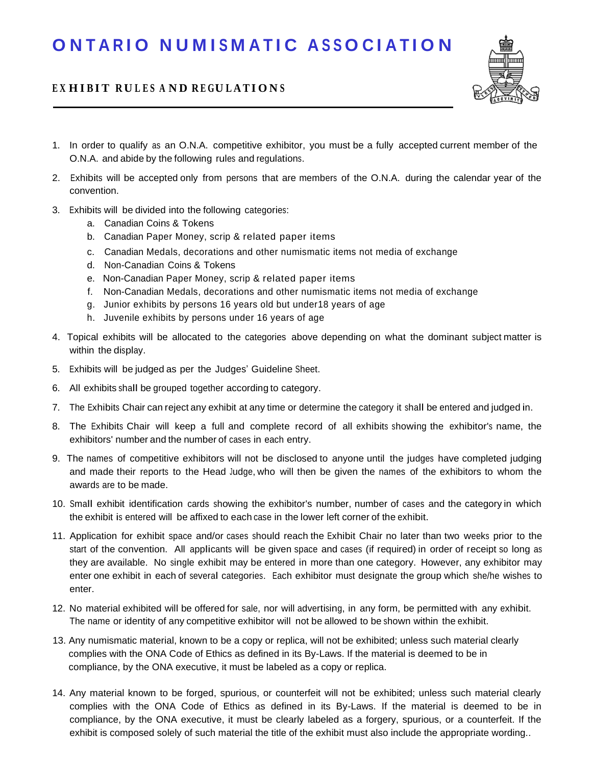## ONTARIO NUMISMATIC ASSOCIATION

## EXHIBIT RULES AND REGULATIONS



- 1. In order to qualify as an O.N.A. competitive exhibitor, you must be a fully accepted current member of the O.N.A. and abide by the following rules and regulations.
- 2. Exhibits will be accepted only from persons that are members of the O.N.A. during the calendar year of the convention.
- 3. Exhibits will be divided into the following categories:
	- a. Canadian Coins & Tokens
	- b. Canadian Paper Money, scrip & related paper items
	- c. Canadian Medals, decorations and other numismatic items not media of exchange
	- d. Non-Canadian Coins & Tokens
	- e. Non-Canadian Paper Money, scrip & related paper items
	- f. Non-Canadian Medals, decorations and other numismatic items not media of exchange
	- g. Junior exhibits by persons 16 years old but under18 years of age
	- h. Juvenile exhibits by persons under 16 years of age
- 4. Topical exhibits will be allocated to the categories above depending on what the dominant subject matter is within the display.
- 5. Exhibits will be judged as per the Judges' Guideline Sheet.
- 6. All exhibits shall be grouped together according to category.
- 7. The Exhibits Chair can reject any exhibit at any time or determine the category it shall be entered and judged in.
- 8. The Exhibits Chair will keep a full and complete record of all exhibits showing the exhibitor's name, the exhibitors' number and the number of cases in each entry.
- 9. The names of competitive exhibitors will not be disclosed to anyone until the judges have completed judging and made their reports to the Head Judge, who will then be given the names of the exhibitors to whom the awards are to be made.
- 10. Small exhibit identification cards showing the exhibitor's number, number of cases and the category in which the exhibit is entered will be affixed to each case in the lower left corner of the exhibit.
- 11. Application for exhibit space and/or cases should reach the Exhibit Chair no later than two weeks prior to the start of the convention. All applicants will be given space and cases (if required) in order of receipt so long as they are available. No single exhibit may be entered in more than one category. However, any exhibitor may enter one exhibit in each of several categories. Each exhibitor must designate the group which she/he wishes to enter.
- 12. No material exhibited will be offered for sale, nor will advertising, in any form, be permitted with any exhibit. The name or identity of any competitive exhibitor will not be allowed to be shown within the exhibit.
- 13. Any numismatic material, known to be a copy or replica, will not be exhibited; unless such material clearly complies with the ONA Code of Ethics as defined in its By-Laws. If the material is deemed to be in compliance, by the ONA executive, it must be labeled as a copy or replica.
- 14. Any material known to be forged, spurious, or counterfeit will not be exhibited; unless such material clearly complies with the ONA Code of Ethics as defined in its By-Laws. If the material is deemed to be in compliance, by the ONA executive, it must be clearly labeled as a forgery, spurious, or a counterfeit. If the exhibit is composed solely of such material the title of the exhibit must also include the appropriate wording..